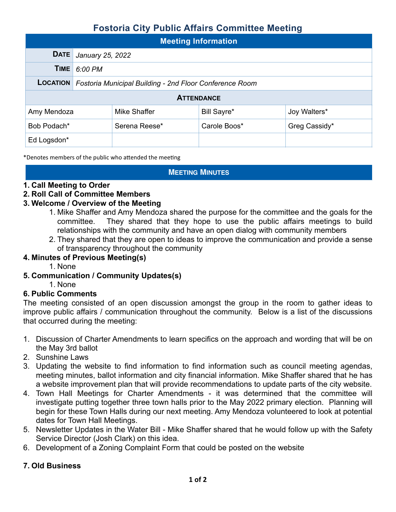# **Fostoria City Public Affairs Committee Meeting**

| <b>Meeting Information</b> |                                                         |               |              |               |  |  |  |
|----------------------------|---------------------------------------------------------|---------------|--------------|---------------|--|--|--|
| <b>DATE</b>                | January 25, 2022                                        |               |              |               |  |  |  |
| TIME                       | 6:00 PM                                                 |               |              |               |  |  |  |
| <b>LOCATION</b>            | Fostoria Municipal Building - 2nd Floor Conference Room |               |              |               |  |  |  |
| <b>ATTENDANCE</b>          |                                                         |               |              |               |  |  |  |
| Amy Mendoza                |                                                         | Mike Shaffer  | Bill Sayre*  | Joy Walters*  |  |  |  |
| Bob Podach*                |                                                         | Serena Reese* | Carole Boos* | Greg Cassidy* |  |  |  |
| Ed Logsdon*                |                                                         |               |              |               |  |  |  |

\*Denotes members of the public who attended the meeting

### **MEETING MINUTES**

### **1. Call Meeting to Order**

### **2. Roll Call of Committee Members**

### **3. Welcome / Overview of the Meeting**

- 1. Mike Shaffer and Amy Mendoza shared the purpose for the committee and the goals for the committee. They shared that they hope to use the public affairs meetings to build relationships with the community and have an open dialog with community members
- 2. They shared that they are open to ideas to improve the communication and provide a sense of transparency throughout the community

### **4. Minutes of Previous Meeting(s)**

- 1. None
- **5. Communication / Community Updates(s)** 
	- 1. None

### **6. Public Comments**

The meeting consisted of an open discussion amongst the group in the room to gather ideas to improve public affairs / communication throughout the community. Below is a list of the discussions that occurred during the meeting:

- 1. Discussion of Charter Amendments to learn specifics on the approach and wording that will be on the May 3rd ballot
- 2. Sunshine Laws
- 3. Updating the website to find information to find information such as council meeting agendas, meeting minutes, ballot information and city financial information. Mike Shaffer shared that he has a website improvement plan that will provide recommendations to update parts of the city website.
- 4. Town Hall Meetings for Charter Amendments it was determined that the committee will investigate putting together three town halls prior to the May 2022 primary election. Planning will begin for these Town Halls during our next meeting. Amy Mendoza volunteered to look at potential dates for Town Hall Meetings.
- 5. Newsletter Updates in the Water Bill Mike Shaffer shared that he would follow up with the Safety Service Director (Josh Clark) on this idea.
- 6. Development of a Zoning Complaint Form that could be posted on the website

### **7. Old Business**